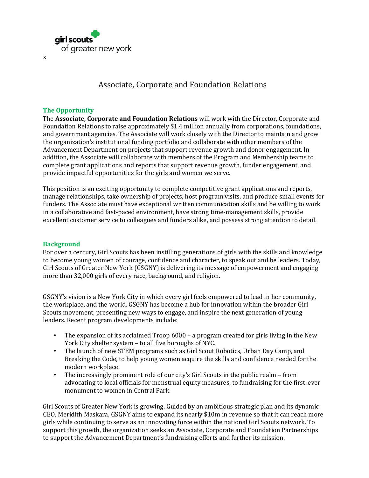

# Associate, Corporate and Foundation Relations

#### **The Opportunity**

x

The **Associate, Corporate and Foundation Relations** will work with the Director, Corporate and Foundation Relations to raise approximately \$1.4 million annually from corporations, foundations, and government agencies. The Associate will work closely with the Director to maintain and grow the organization's institutional funding portfolio and collaborate with other members of the Advancement Department on projects that support revenue growth and donor engagement. In addition, the Associate will collaborate with members of the Program and Membership teams to complete grant applications and reports that support revenue growth, funder engagement, and provide impactful opportunities for the girls and women we serve.

This position is an exciting opportunity to complete competitive grant applications and reports, manage relationships, take ownership of projects, host program visits, and produce small events for funders. The Associate must have exceptional written communication skills and be willing to work in a collaborative and fast-paced environment, have strong time-management skills, provide excellent customer service to colleagues and funders alike, and possess strong attention to detail.

#### **Background**

For over a century, Girl Scouts has been instilling generations of girls with the skills and knowledge to become young women of courage, confidence and character, to speak out and be leaders. Today, Girl Scouts of Greater New York (GSGNY) is delivering its message of empowerment and engaging more than 32,000 girls of every race, background, and religion.

GSGNY's vision is a New York City in which every girl feels empowered to lead in her community, the workplace, and the world. GSGNY has become a hub for innovation within the broader Girl Scouts movement, presenting new ways to engage, and inspire the next generation of young leaders. Recent program developments include:

- The expansion of its acclaimed Troop 6000 a program created for girls living in the New York City shelter system – to all five boroughs of NYC.
- The launch of new STEM programs such as Girl Scout Robotics, Urban Day Camp, and Breaking the Code, to help young women acquire the skills and confidence needed for the modern workplace.
- The increasingly prominent role of our city's Girl Scouts in the public realm from advocating to local officials for menstrual equity measures, to fundraising for the first-ever monument to women in Central Park.

Girl Scouts of Greater New York is growing. Guided by an ambitious strategic plan and its dynamic CEO, Meridith Maskara, GSGNY aims to expand its nearly \$10m in revenue so that it can reach more girls while continuing to serve as an innovating force within the national Girl Scouts network. To support this growth, the organization seeks an Associate, Corporate and Foundation Partnerships to support the Advancement Department's fundraising efforts and further its mission.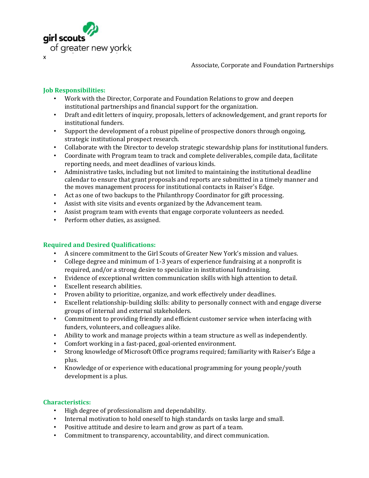

Associate, Corporate and Foundation Partnerships

### **Job Responsibilities:**

- Work with the Director, Corporate and Foundation Relations to grow and deepen institutional partnerships and financial support for the organization.
- Draft and edit letters of inquiry, proposals, letters of acknowledgement, and grant reports for institutional funders.
- Support the development of a robust pipeline of prospective donors through ongoing, strategic institutional prospect research.
- Collaborate with the Director to develop strategic stewardship plans for institutional funders.
- Coordinate with Program team to track and complete deliverables, compile data, facilitate reporting needs, and meet deadlines of various kinds.
- Administrative tasks, including but not limited to maintaining the institutional deadline calendar to ensure that grant proposals and reports are submitted in a timely manner and the moves management process for institutional contacts in Raiser's Edge.
- Act as one of two backups to the Philanthropy Coordinator for gift processing.
- Assist with site visits and events organized by the Advancement team.
- Assist program team with events that engage corporate volunteers as needed.
- Perform other duties, as assigned.

#### **Required and Desired Qualifications:**

- A sincere commitment to the Girl Scouts of Greater New York's mission and values.
- College degree and minimum of 1-3 years of experience fundraising at a nonprofit is required, and/or a strong desire to specialize in institutional fundraising.
- Evidence of exceptional written communication skills with high attention to detail.
- Excellent research abilities.
- Proven ability to prioritize, organize, and work effectively under deadlines.
- Excellent relationship-building skills: ability to personally connect with and engage diverse groups of internal and external stakeholders.
- Commitment to providing friendly and efficient customer service when interfacing with funders, volunteers, and colleagues alike.
- Ability to work and manage projects within a team structure as well as independently.
- Comfort working in a fast-paced, goal-oriented environment.
- Strong knowledge of Microsoft Office programs required; familiarity with Raiser's Edge a plus.
- Knowledge of or experience with educational programming for young people/youth development is a plus.

## **Characteristics:**

- High degree of professionalism and dependability.
- Internal motivation to hold oneself to high standards on tasks large and small.
- Positive attitude and desire to learn and grow as part of a team.
- Commitment to transparency, accountability, and direct communication.